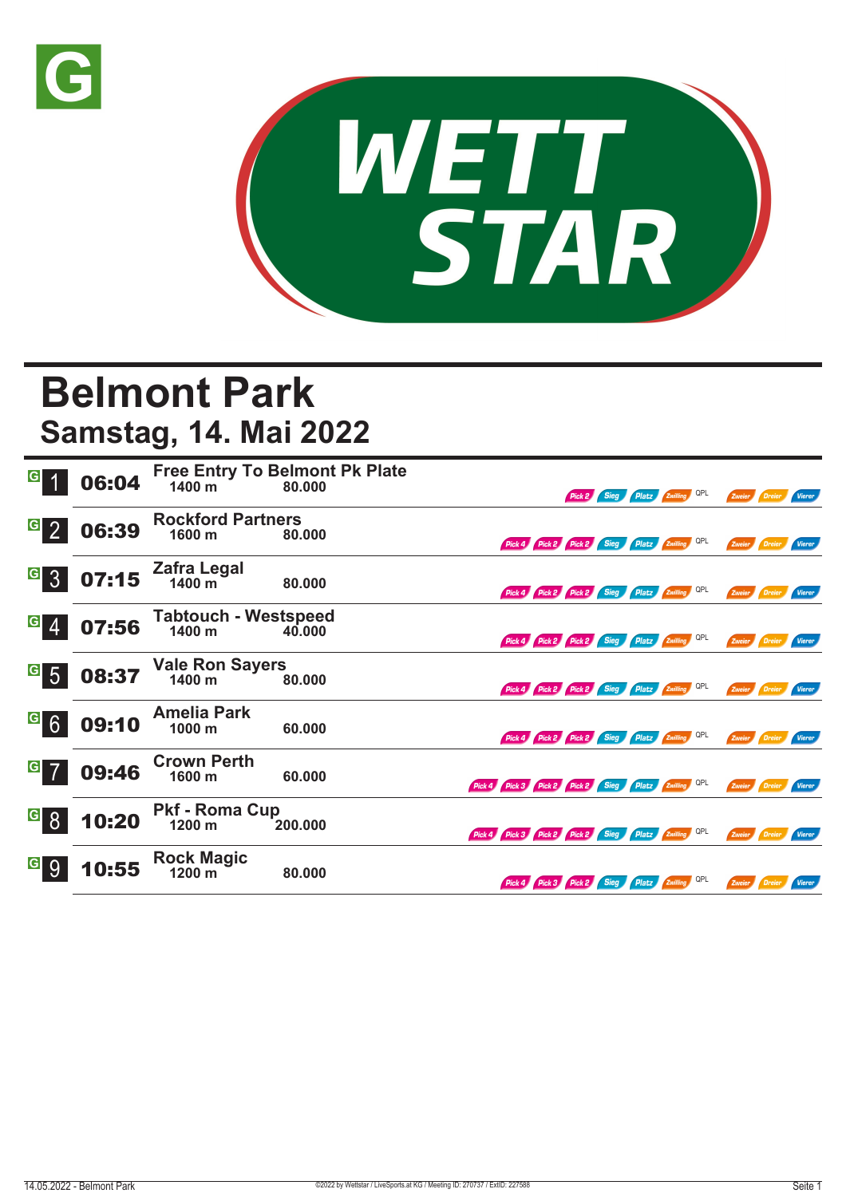



## **Belmont Park**

**Samstag, 14. Mai 2022**

|                                     | 06:04 | 1400 m                                | <b>Free Entry To Belmont Pk Plate</b><br>80.000 |                                                     |                                              |  | Pick 2 Sieg Platz Zwilling QPL |  | Zweier Dreier Vierer |                      |               |
|-------------------------------------|-------|---------------------------------------|-------------------------------------------------|-----------------------------------------------------|----------------------------------------------|--|--------------------------------|--|----------------------|----------------------|---------------|
| $\overline{G}$ 2                    | 06:39 | <b>Rockford Partners</b><br>1600 m    | 80.000                                          |                                                     | Pick 4 Pick 2 Pick 2 Sieg Platz Zwilling QPL |  |                                |  |                      | Zweier Dreier        | Vierer        |
| G <br>3 <sup>°</sup>                | 07:15 | Zafra Legal<br>1400 m                 | 80.000                                          |                                                     | Pick 4 Pick 2 Pick 2 Sieg Platz Zwilling QPL |  |                                |  |                      | Zweier Dreier Vierer |               |
| $\vert G \vert$                     | 07:56 | <b>Tabtouch - Westspeed</b><br>1400 m | 40,000                                          |                                                     | Pick 4 Pick 2 Pick 2 Sieg Platz Zwilling QPL |  |                                |  |                      | Zweier Dreier Vierer |               |
| G <br>$5\overline{5}$               | 08:37 | Vale Ron Sayers<br>1400 m             | 80.000                                          |                                                     | Pick 4 Pick 2 Pick 2 Sieg Platz Zwilling QPL |  |                                |  | Zweier Dreier        |                      | <b>Vierer</b> |
| $\vert G \vert$<br>$6 \overline{6}$ | 09:10 | <b>Amelia Park</b><br>1000 m          | 60.000                                          |                                                     | Pick 4 Pick 2 Pick 2 Sieg Platz Zwilling QPL |  |                                |  | Zweier Dreier        |                      | Vierer        |
| $G$ 7                               | 09:46 | <b>Crown Perth</b><br>1600 m          | 60.000                                          | Pick 4 Pick 3 Pick 2 Pick 2 Sieg Platz Zwilling QPL |                                              |  |                                |  | Zweier Dreier        |                      | Vierer        |
| <sup>G</sup> 8                      | 10:20 | <b>Pkf - Roma Cup</b><br>1200 m       | 200.000                                         | Pick 4 Pick 3 Pick 2 Pick 2 Sieg Platz Zwilling QPL |                                              |  |                                |  | Zweier Dreier Vierer |                      |               |
| G                                   | 10:55 | <b>Rock Magic</b><br>1200 m           | 80.000                                          |                                                     | Pick 4 Pick 3 Pick 2 Sieg Platz Zwilling QPL |  |                                |  |                      | Zweier Dreier Vierer |               |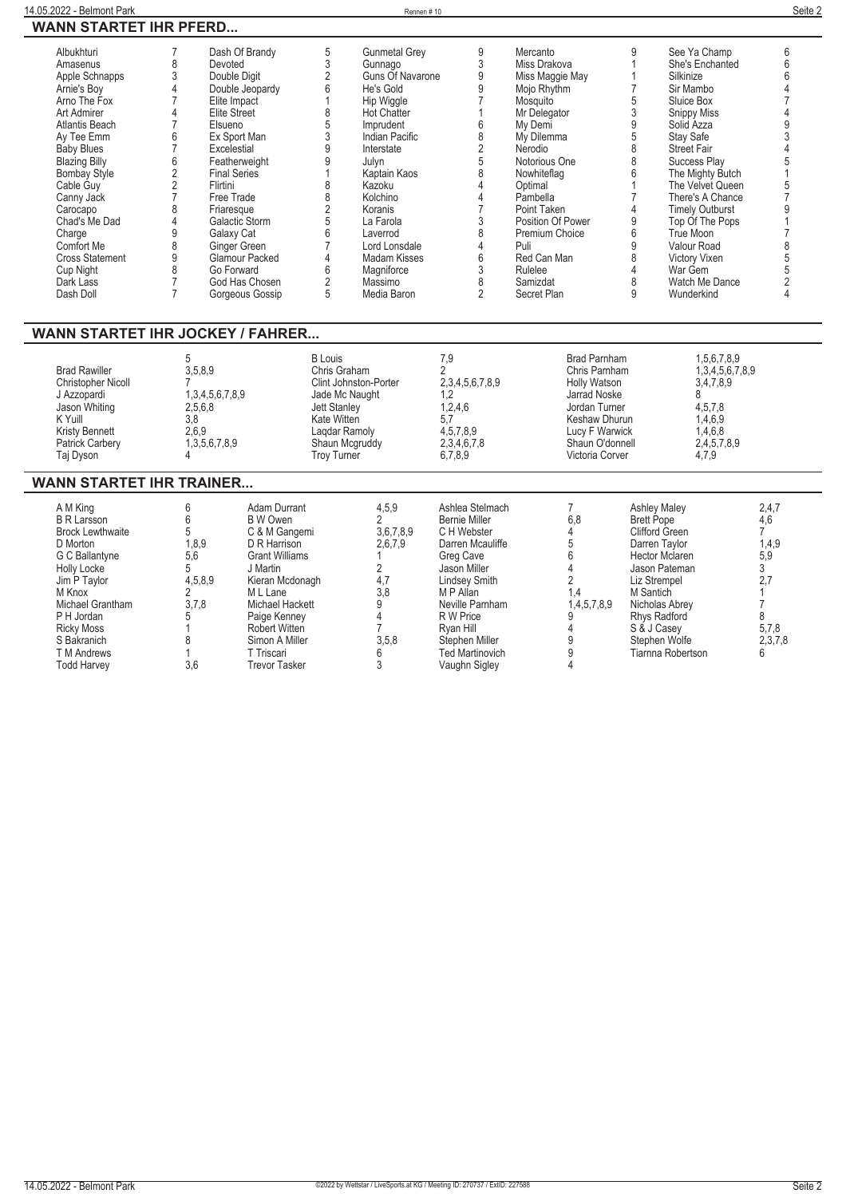| Albukhturi<br>Amasenus<br>Apple Schnapps<br>Arnie's Boy<br>Arno The Fox<br>Art Admirer<br>Atlantis Beach<br>Av Tee Emm<br><b>Baby Blues</b><br><b>Blazing Billy</b><br><b>Bombay Style</b><br>Cable Guy<br>Canny Jack<br>Carocapo<br>Chad's Me Dad<br>Charge<br>Comfort Me<br><b>Cross Statement</b><br>Cup Night<br>Dark Lass<br>Dash Doll<br><b>WANN STARTET IHR JOCKEY / FAHRER</b> | $\overline{7}$<br>8<br>Devoted<br>3<br>Double Digit<br>$\overline{4}$<br>Elite Impact<br>7<br>4<br><b>Elite Street</b><br>$\overline{7}$<br>Elsueno<br>6<br>$\overline{7}$<br>Excelestial<br>$6\,$<br>$\sqrt{2}$<br><b>Final Series</b><br>$\sqrt{2}$<br>Flirtini<br>$\overline{7}$<br>Free Trade<br>8<br>Friaresque<br>$\overline{4}$<br>9<br>Galaxy Cat<br>8<br>9<br>8<br>Go Forward<br>$\overline{7}$<br>$\overline{7}$ | Dash Of Brandy<br>Double Jeopardy<br>Ex Sport Man<br>Featherweight<br>Galactic Storm<br>Ginger Green<br>Glamour Packed<br>God Has Chosen<br>Gorgeous Gossip                                                                                             | $\frac{5}{3}$<br><b>Gunmetal Grey</b><br>Gunnago<br>$\overline{2}$<br>Guns Of Navarone<br>6<br>He's Gold<br>$\mathbf{1}$<br>Hip Wiggle<br>8<br>5<br>3<br>9<br><b>Hot Chatter</b><br>Imprudent<br>Indian Pacific<br>Interstate<br>$\overline{9}$<br>Julyn<br>$\mathbf{1}$<br>Kaptain Kaos<br>8<br>Kazoku<br>8<br>Kolchino<br>$\frac{2}{5}$<br>Koranis<br>La Farola<br>$\overline{6}$<br>Laverrod<br>$\overline{7}$<br>Lord Lonsdale<br>$\overline{4}$<br>Madam Kisses<br>$\,$ 6 $\,$<br>Magniforce<br>$\overline{2}$<br>Massimo<br>5<br>Media Baron | 9<br>3<br>$\overline{9}$<br>9<br>$\overline{7}$<br>1<br>6<br>8<br>$\overline{2}$<br>5<br>8<br>4<br>$\overline{\mathcal{L}}$<br>$\overline{7}$<br>3<br>8<br>$\overline{4}$<br>6<br>$\sqrt{3}$<br>8<br>$\overline{2}$                             | Mercanto<br>Miss Drakova<br>Miss Maggie May<br>Mojo Rhythm<br>Mosquito<br>Mr Delegator<br>My Demi<br>My Dilemma<br>Nerodio<br>Notorious One<br>Nowhiteflag<br>Optimal<br>Pambella<br>Point Taken<br>Position Of Power<br>Premium Choice<br>Puli<br>Red Can Man<br>Rulelee<br>Samizdat<br>Secret Plan | 9<br>$\mathbf{1}$<br>$\mathbf{1}$<br>$\overline{7}$<br>5<br>$\overline{3}$<br>$\frac{9}{5}$<br>$\bar{8}$<br>8<br>6<br>1<br>$\overline{7}$<br>4<br>$\boldsymbol{9}$<br>$6\phantom{a}$<br>9<br>8<br>4<br>8<br>9                             | See Ya Champ<br>She's Enchanted<br>Silkinize<br>Sir Mambo<br>Sluice Box<br><b>Snippy Miss</b><br>Solid Azza<br>Stay Safe<br>Street Fair<br>Success Play<br>The Mighty Butch<br>The Velvet Queen<br>There's A Chance<br><b>Timely Outburst</b><br>Top Of The Pops<br>True Moon<br>Valour Road<br>Victory Vixen<br>War Gem<br>Watch Me Dance<br>Wunderkind | 6<br>6<br>6<br>4<br>$\overline{7}$<br>4<br>9<br>3<br>$\overline{4}$<br>5<br>1<br>5<br>$\overline{7}$<br>9<br>$\mathbf{1}$<br>$\overline{7}$<br>8<br>5<br>5<br>$\overline{2}$<br>4 |
|----------------------------------------------------------------------------------------------------------------------------------------------------------------------------------------------------------------------------------------------------------------------------------------------------------------------------------------------------------------------------------------|----------------------------------------------------------------------------------------------------------------------------------------------------------------------------------------------------------------------------------------------------------------------------------------------------------------------------------------------------------------------------------------------------------------------------|---------------------------------------------------------------------------------------------------------------------------------------------------------------------------------------------------------------------------------------------------------|----------------------------------------------------------------------------------------------------------------------------------------------------------------------------------------------------------------------------------------------------------------------------------------------------------------------------------------------------------------------------------------------------------------------------------------------------------------------------------------------------------------------------------------------------|-------------------------------------------------------------------------------------------------------------------------------------------------------------------------------------------------------------------------------------------------|------------------------------------------------------------------------------------------------------------------------------------------------------------------------------------------------------------------------------------------------------------------------------------------------------|-------------------------------------------------------------------------------------------------------------------------------------------------------------------------------------------------------------------------------------------|----------------------------------------------------------------------------------------------------------------------------------------------------------------------------------------------------------------------------------------------------------------------------------------------------------------------------------------------------------|-----------------------------------------------------------------------------------------------------------------------------------------------------------------------------------|
| <b>Brad Rawiller</b><br><b>Christopher Nicoll</b><br>J Azzopardi<br>Jason Whiting<br>K Yuill<br>Kristy Bennett<br>Patrick Carbery<br>Taj Dyson                                                                                                                                                                                                                                         | 5<br>3,5,8,9<br>7<br>1,3,4,5,6,7,8,9<br>2,5,6,8<br>3,8<br>2,6,9<br>1,3,5,6,7,8,9<br>4                                                                                                                                                                                                                                                                                                                                      |                                                                                                                                                                                                                                                         | <b>B</b> Louis<br>Chris Graham<br>Clint Johnston-Porter<br>Jade Mc Naught<br><b>Jett Stanley</b><br>Kate Witten<br>Lagdar Ramoly<br>Shaun Mcgruddy<br>Troy Turner                                                                                                                                                                                                                                                                                                                                                                                  | 7,9<br>$\overline{2}$<br>2,3,4,5,6,7,8,9<br>1,2<br>1,2,4,6<br>5,7<br>4,5,7,8,9<br>2,3,4,6,7,8<br>6,7,8,9                                                                                                                                        | <b>Brad Parnham</b><br>Chris Parnham<br><b>Holly Watson</b><br>Jarrad Noske<br>Jordan Turner<br>Keshaw Dhurun<br>Lucy F Warwick<br>Shaun O'donnell<br>Victoria Corver                                                                                                                                |                                                                                                                                                                                                                                           | 1,5,6,7,8,9<br>1,3,4,5,6,7,8,9<br>3,4,7,8,9<br>8<br>4,5,7,8<br>1,4,6,9<br>1,4,6,8<br>2,4,5,7,8,9<br>4,7,9                                                                                                                                                                                                                                                |                                                                                                                                                                                   |
| <b>WANN STARTET IHR TRAINER</b>                                                                                                                                                                                                                                                                                                                                                        |                                                                                                                                                                                                                                                                                                                                                                                                                            |                                                                                                                                                                                                                                                         |                                                                                                                                                                                                                                                                                                                                                                                                                                                                                                                                                    |                                                                                                                                                                                                                                                 |                                                                                                                                                                                                                                                                                                      |                                                                                                                                                                                                                                           |                                                                                                                                                                                                                                                                                                                                                          |                                                                                                                                                                                   |
| A M King<br><b>B R Larsson</b><br><b>Brock Lewthwaite</b><br>D Morton<br>G C Ballantyne<br><b>Holly Locke</b><br>Jim P Taylor<br>M Knox<br>Michael Grantham<br>P H Jordan<br><b>Ricky Moss</b><br>S Bakranich<br><b>T</b> M Andrews<br><b>Todd Harvey</b>                                                                                                                              | 6<br>6<br>5<br>1.8.9<br>5,6<br>5<br>4,5,8,9<br>2<br>3,7,8<br>5<br>1<br>8<br>1<br>3.6                                                                                                                                                                                                                                                                                                                                       | Adam Durrant<br><b>B</b> W Owen<br>C & M Gangemi<br>D R Harrison<br><b>Grant Williams</b><br>J Martin<br>Kieran Mcdonagh<br>M L Lane<br>Michael Hackett<br>Paige Kenney<br><b>Robert Witten</b><br>Simon A Miller<br>T Triscari<br><b>Trevor Tasker</b> | 4,5,9<br>$\overline{2}$<br>3,6,7,8,9<br>2,6,7,9<br>2<br>4,7<br>3.8<br>9<br>4<br>$\overline{7}$<br>3,5,8<br>6<br>3                                                                                                                                                                                                                                                                                                                                                                                                                                  | Ashlea Stelmach<br><b>Bernie Miller</b><br>C H Webster<br>Darren Mcauliffe<br>Greg Cave<br>Jason Miller<br>Lindsey Smith<br>M P Allan<br>Neville Parnham<br>R W Price<br>Ryan Hill<br>Stephen Miller<br><b>Ted Martinovich</b><br>Vaughn Sigley | 7<br>6.8<br>$\overline{4}$<br>5<br>6<br>4<br>$\overline{c}$<br>1.4<br>1,4,5,7,8,9<br>9<br>4<br>9<br>9<br>4                                                                                                                                                                                           | <b>Ashley Maley</b><br><b>Brett Pope</b><br>Clifford Green<br>Darren Taylor<br><b>Hector Mclaren</b><br>Jason Pateman<br>Liz Strempel<br>M Santich<br>Nicholas Abrey<br>Rhys Radford<br>S & J Casey<br>Stephen Wolfe<br>Tiarnna Robertson |                                                                                                                                                                                                                                                                                                                                                          | 2,4,7<br>4,6<br>$\overline{7}$<br>1,4,9<br>5,9<br>3<br>2,7<br>$\mathbf{1}$<br>$\overline{7}$<br>8<br>5,7,8<br>2,3,7,8<br>6                                                        |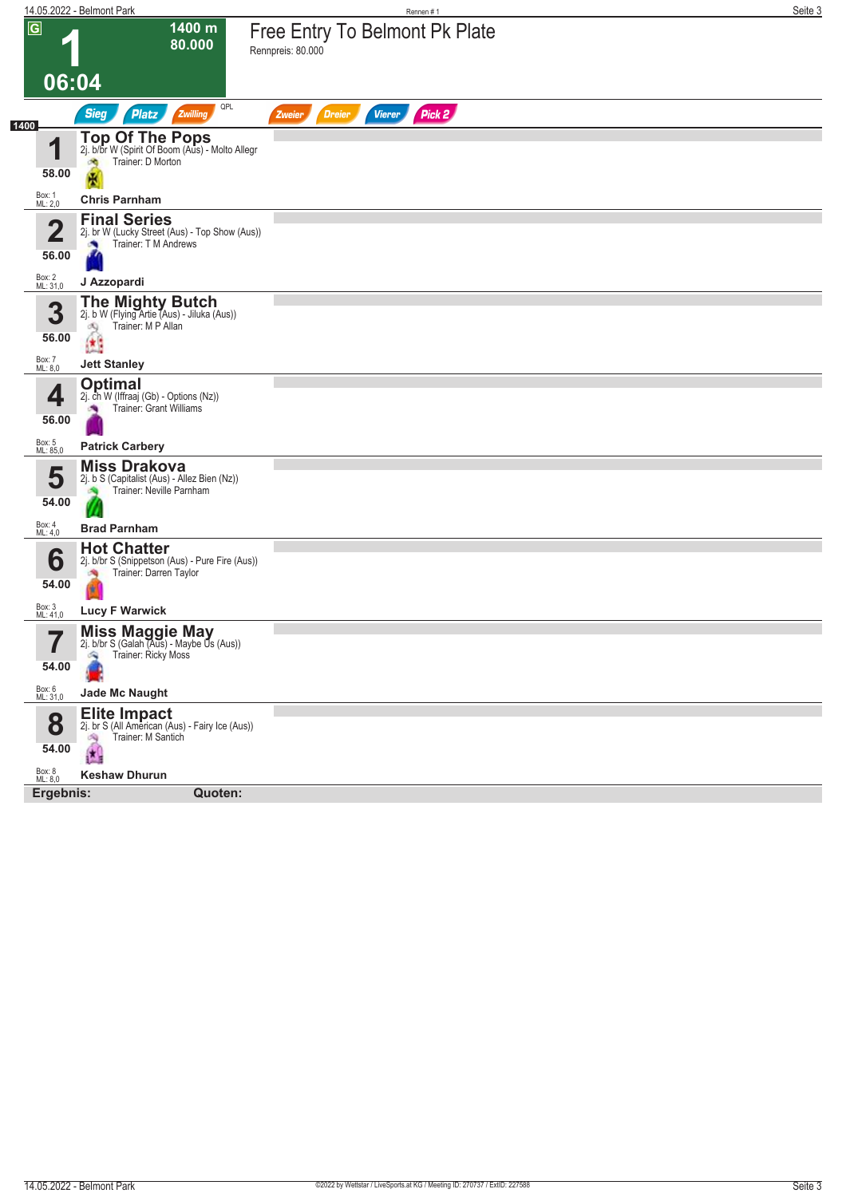|                                  | 14.05.2022 - Belmont Park                                                                                              | Rennen#1                                            | Seite 3 |
|----------------------------------|------------------------------------------------------------------------------------------------------------------------|-----------------------------------------------------|---------|
| $\overline{G}$                   | 1400 m<br>80.000                                                                                                       | Free Entry To Belmont Pk Plate<br>Rennpreis: 80.000 |         |
| 06:04                            |                                                                                                                        |                                                     |         |
|                                  | QPL<br><b>Sieg</b><br><b>Platz</b><br>Zwilling                                                                         | <b>Dreier</b><br><b>Vierer</b><br>Pick 2<br>Zweier  |         |
| 1400<br>1<br>58.00               | <b>Top Of The Pops</b><br>2j. b/br W (Spirit Of Boom (Aus) - Molto Allegr<br>Trainer: D Morton<br>$\partial\mathbf{Q}$ |                                                     |         |
| Box: 1<br>ML: 2,0                | 團<br><b>Chris Parnham</b>                                                                                              |                                                     |         |
|                                  | <b>Final Series</b>                                                                                                    |                                                     |         |
| $\overline{\mathbf{2}}$<br>56.00 | 2j. br W (Lucky Street (Aus) - Top Show (Aus))<br>Trainer: T M Andrews                                                 |                                                     |         |
| Box: 2<br>ML: 31,0               | J Azzopardi                                                                                                            |                                                     |         |
| 3<br>56.00                       | <b>The Mighty Butch</b><br>2j. b W (Flying Artie (Aus) - Jiluka (Aus))<br>Trainer: M P Allan<br>嘎<br>¢,                |                                                     |         |
| Box: 7<br>ML: 8,0                | <b>Jett Stanley</b>                                                                                                    |                                                     |         |
| 4<br>56.00                       | <b>Optimal</b><br>2j. ch W (Iffraaj (Gb) - Options (Nz))<br><b>Trainer: Grant Williams</b>                             |                                                     |         |
| Box: 5<br>ML: 85,0               | <b>Patrick Carbery</b>                                                                                                 |                                                     |         |
| 5<br>54.00                       | <b>Miss Drakova</b><br>2j. b S (Capitalist (Aus) - Allez Bien (Nz))<br>Trainer: Neville Parnham                        |                                                     |         |
| Box: 4<br>ML: 4,0                | <b>Brad Parnham</b>                                                                                                    |                                                     |         |
| 6<br>54.00                       | <b>Hot Chatter</b><br>2j. b/br S (Snippetson (Aus) - Pure Fire (Aus))<br>Trainer: Darren Taylor<br>瀬<br>e (            |                                                     |         |
| Box: 3<br>ML: 41,0               | <b>Lucy F Warwick</b>                                                                                                  |                                                     |         |
| ⇁<br>I<br>54.00                  | <b>Miss Maggie May</b><br>2j. b/br S (Galah (Aus) - Maybe Us (Aus))<br>Trainer: Ricky Moss<br>A                        |                                                     |         |
| Box: 6<br>ML: 31,0               | <b>Jade Mc Naught</b>                                                                                                  |                                                     |         |
| 8<br>54.00                       | Elite Impact<br>21. br S (All American (Aus) - Fairy Ice (Aus))<br>Trainer: M Santich<br>d9                            |                                                     |         |
| Box: 8<br>ML: 8,0                | <b>Keshaw Dhurun</b>                                                                                                   |                                                     |         |
| Ergebnis:                        | Quoten:                                                                                                                |                                                     |         |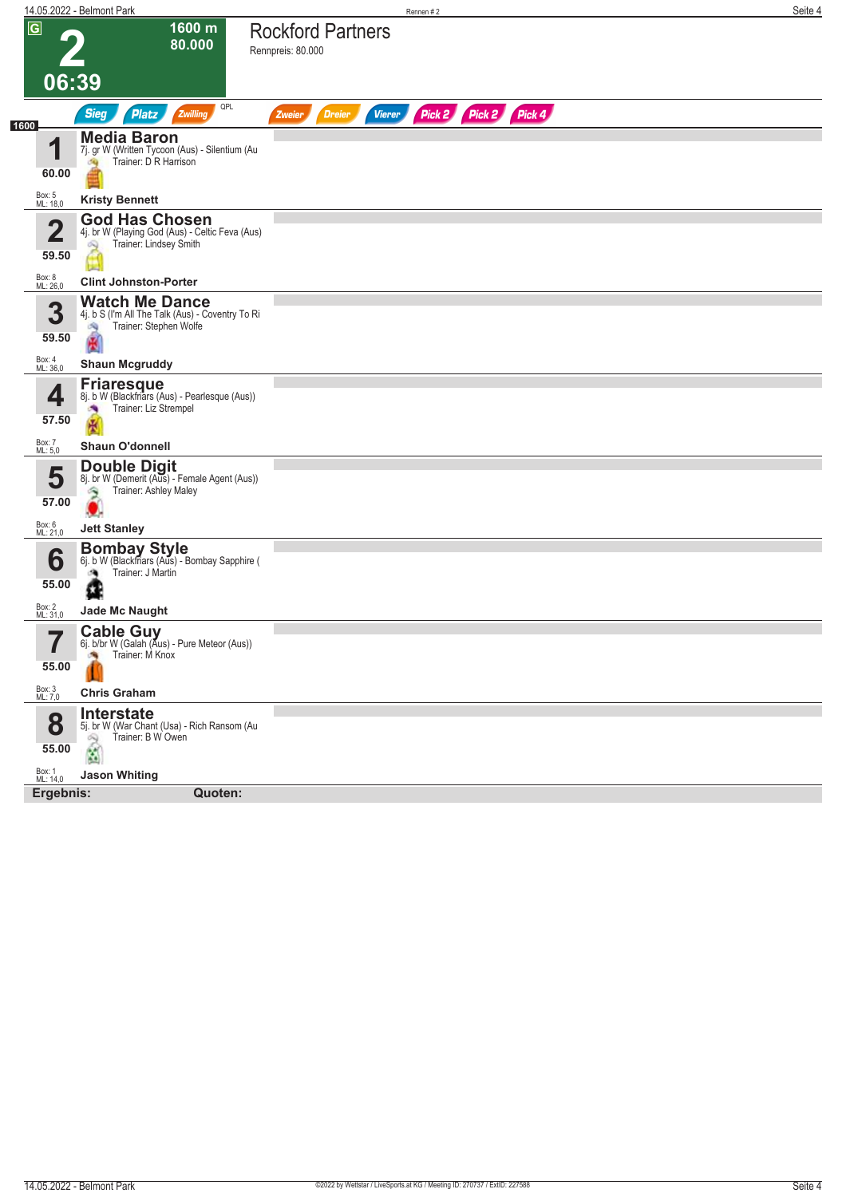|                         | 14.05.2022 - Belmont Park                                                                                    | Rennen#2                                                         | Seite 4 |
|-------------------------|--------------------------------------------------------------------------------------------------------------|------------------------------------------------------------------|---------|
| $\overline{G}$<br>06:39 | 1600 m<br>80.000                                                                                             | <b>Rockford Partners</b><br>Rennpreis: 80.000                    |         |
|                         | QPL<br><b>Sieg</b><br>Zwilling<br><b>Platz</b>                                                               | Pick 2 Pick 2 Pick 4<br><b>Dreier</b><br><b>Vierer</b><br>Zweier |         |
| 1600<br>1<br>60.00      | <b>Media Baron</b><br>7j. gr W (Written Tycoon (Aus) - Silentium (Au<br>Trainer: D R Harrison<br>59          |                                                                  |         |
| Box: 5<br>ML: 18,0      | <b>Kristy Bennett</b>                                                                                        |                                                                  |         |
| $\overline{2}$<br>59.50 | <b>God Has Chosen</b><br>4j. br W (Playing God (Aus) - Celtic Feva (Aus)<br>Trainer: Lindsey Smith<br>$\sim$ |                                                                  |         |
| Box: 8<br>ML: 26,0      | <b>Clint Johnston-Porter</b>                                                                                 |                                                                  |         |
| 3<br>59.50              | <b>Watch Me Dance</b><br>4j. b S (I'm All The Talk (Aus) - Coventry To Ri<br>Trainer: Stephen Wolfe<br>鸤     |                                                                  |         |
| Box: 4<br>ML: 36,0      | <b>Shaun Mcgruddy</b>                                                                                        |                                                                  |         |
| ◢<br>57.50              | <b>Friaresque</b><br>8j. b W (Blackfriars (Aus) - Pearlesque (Aus))<br>Trainer: Liz Strempel                 |                                                                  |         |
| Box: 7<br>ML: 5,0       | <b>Shaun O'donnell</b>                                                                                       |                                                                  |         |
| 5<br>57.00              | <b>Double Digit</b><br>8j. br W (Demerit (Aus) - Female Agent (Aus))<br>Trainer: Ashley Maley<br>۹           |                                                                  |         |
| Box: 6<br>ML: 21,0      | <b>Jett Stanley</b>                                                                                          |                                                                  |         |
| 6<br>55.00              | <b>Bombay Style</b><br>6j. b W (Blackfriars (Aus) - Bombay Sapphire (<br>Trainer: J Martin                   |                                                                  |         |
| Box: 2<br>ML: 31,0      | <b>Jade Mc Naught</b>                                                                                        |                                                                  |         |
| 7<br>55.00              | <b>Cable Guy</b><br>6j. b/br W (Galah (Aus) - Pure Meteor (Aus))<br>Trainer: M Knox<br><b>CO</b>             |                                                                  |         |
| Box: 3<br>ML: 7,0       | <b>Chris Graham</b>                                                                                          |                                                                  |         |
| 8<br>55.00              | Interstate<br>5j. br W (War Chant (Usa) - Rich Ransom (Au<br>Trainer: B W Owen<br>69<br>Ń,                   |                                                                  |         |
| Box: 1<br>ML: 14,0      | <b>Jason Whiting</b>                                                                                         |                                                                  |         |
| Ergebnis:               | Quoten:                                                                                                      |                                                                  |         |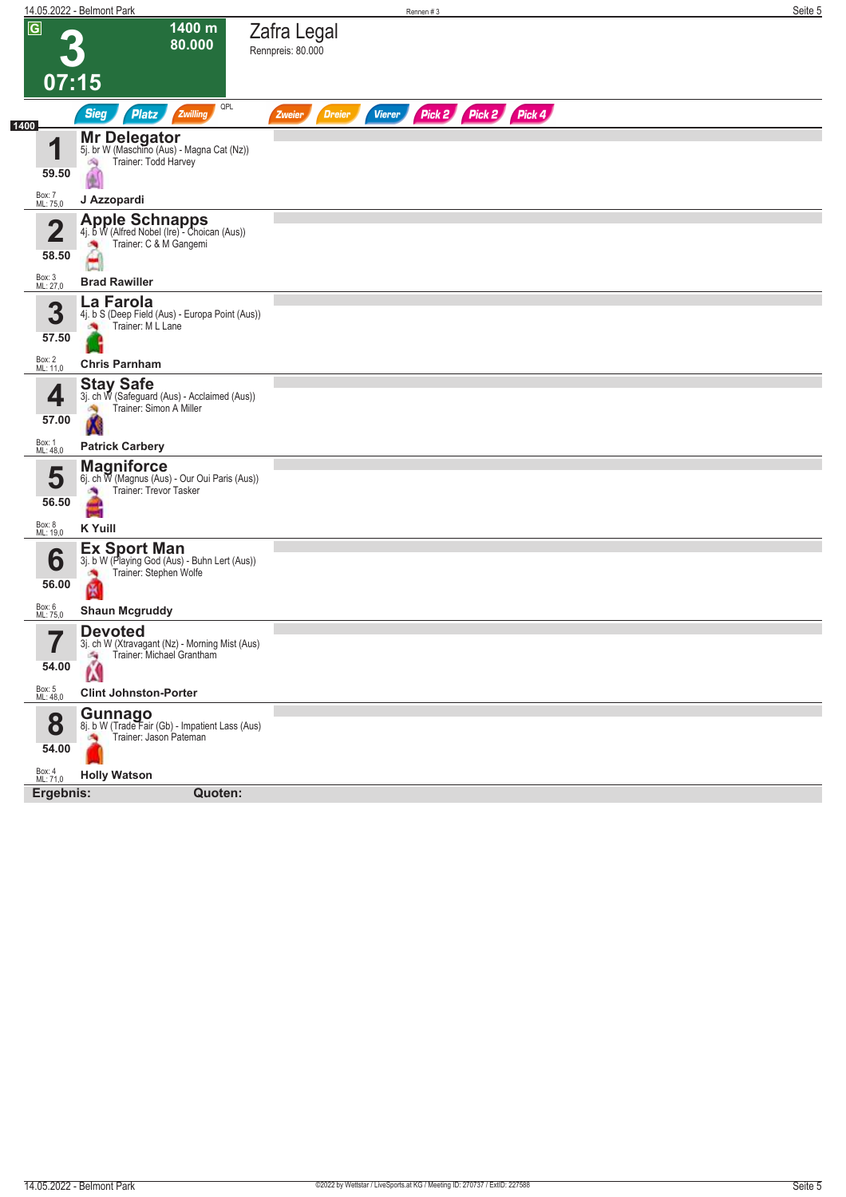|                                  | 14.05.2022 - Belmont Park                                                                           | Rennen #3                                                        | Seite 5 |
|----------------------------------|-----------------------------------------------------------------------------------------------------|------------------------------------------------------------------|---------|
| $\overline{G}$                   | 1400 m<br>80.000                                                                                    | Zafra Legal<br>Rennpreis: 80.000                                 |         |
| 07:15                            |                                                                                                     |                                                                  |         |
|                                  | QPL<br><b>Sieg</b><br><b>Platz</b><br>Zwilling                                                      | Pick 2 Pick 2 Pick 4<br><b>Vierer</b><br><b>Dreier</b><br>Zweier |         |
| 1400<br>1                        | <b>Mr Delegator</b><br>5j. br W (Maschino (Aus) - Magna Cat (Nz))<br>Trainer: Todd Harvey<br>dia.   |                                                                  |         |
| 59.50<br>Box: 7<br>ML: 75,0      | J Azzopardi                                                                                         |                                                                  |         |
| $\overline{\mathbf{2}}$<br>58.50 | Apple Schnapps<br>4j. b W (Alfred Nobel (Ire) - Choican (Aus))<br>Trainer: C & M Gangemi<br>×,<br>e |                                                                  |         |
| Box: 3<br>ML: 27,0               | <b>Brad Rawiller</b>                                                                                |                                                                  |         |
| 3<br>57.50                       | La Farola<br>4j. b S (Deep Field (Aus) - Europa Point (Aus))<br>Trainer: M L Lane                   |                                                                  |         |
| Box: 2<br>ML: 11,0               | <b>Chris Parnham</b>                                                                                |                                                                  |         |
| 4<br>57.00                       | <b>Stay Safe</b><br>3j. ch W (Safeguard (Aus) - Acclaimed (Aus))<br>Trainer: Simon A Miller         |                                                                  |         |
| Box: 1<br>ML: 48,0               | <b>Patrick Carbery</b>                                                                              |                                                                  |         |
| 5<br>56.50                       | <b>Magniforce</b><br>6j. ch W (Magnus (Aus) - Our Oui Paris (Aus))<br>Trainer: Trevor Tasker<br>랔   |                                                                  |         |
| Box: 8<br>ML: 19,0               | <b>K</b> Yuill                                                                                      |                                                                  |         |
| 6<br>56.00                       | <b>Ex Sport Man</b><br>3j. b W (Playing God (Aus) - Buhn Lert (Aus))<br>Trainer: Stephen Wolfe<br>圏 |                                                                  |         |
| Box: 6<br>ML: 75,0               | <b>Shaun Mcgruddy</b>                                                                               |                                                                  |         |
| 7<br>$\blacksquare$<br>54.00     | <b>Devoted</b><br>3j. ch W (Xtravagant (Nz) - Morning Mist (Aus)<br>Trainer: Michael Grantham<br>Ŵ  |                                                                  |         |
| Box: 5<br>ML: 48,0               | <b>Clint Johnston-Porter</b>                                                                        |                                                                  |         |
| 8<br>54.00                       | <b>Gunnago</b><br>8j. b W (Trade Fair (Gb) - Impatient Lass (Aus)<br>Trainer: Jason Pateman         |                                                                  |         |
| Box: 4<br>ML: 71,0               | <b>Holly Watson</b>                                                                                 |                                                                  |         |
| Ergebnis:                        | Quoten:                                                                                             |                                                                  |         |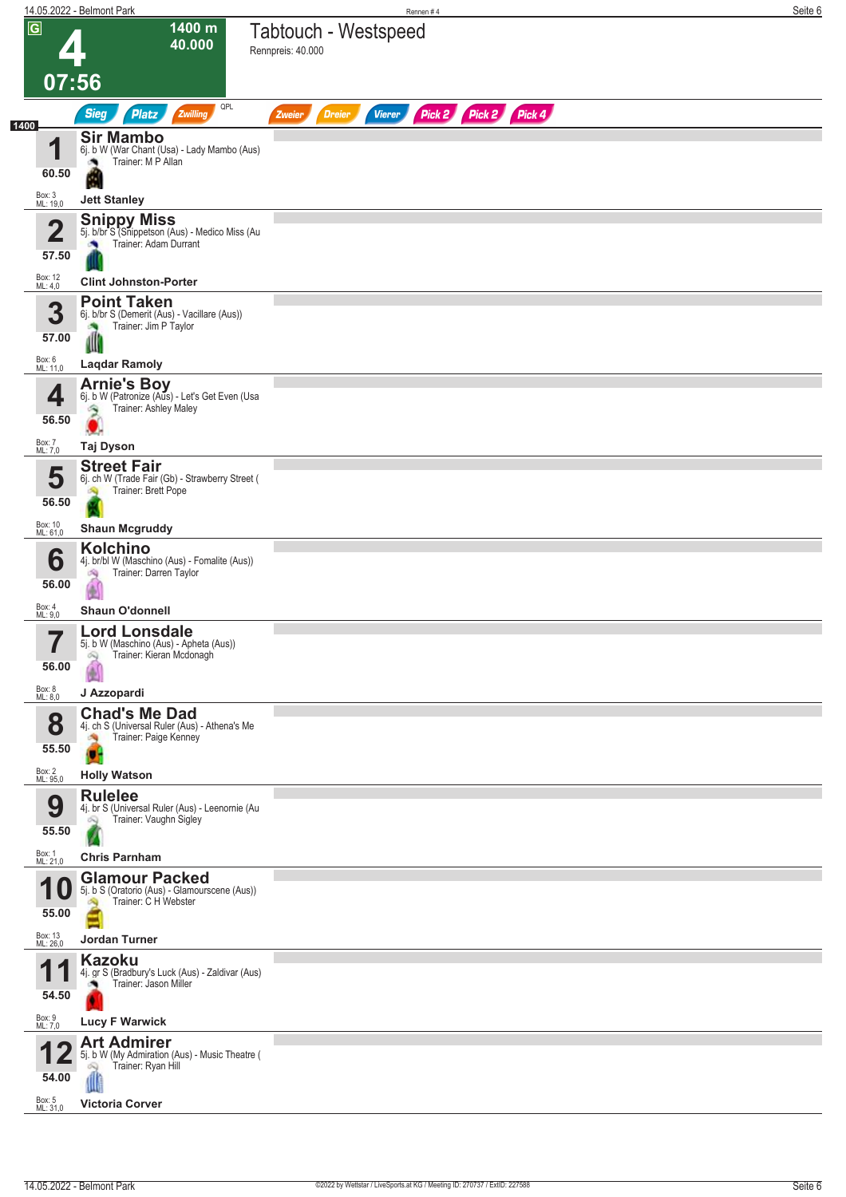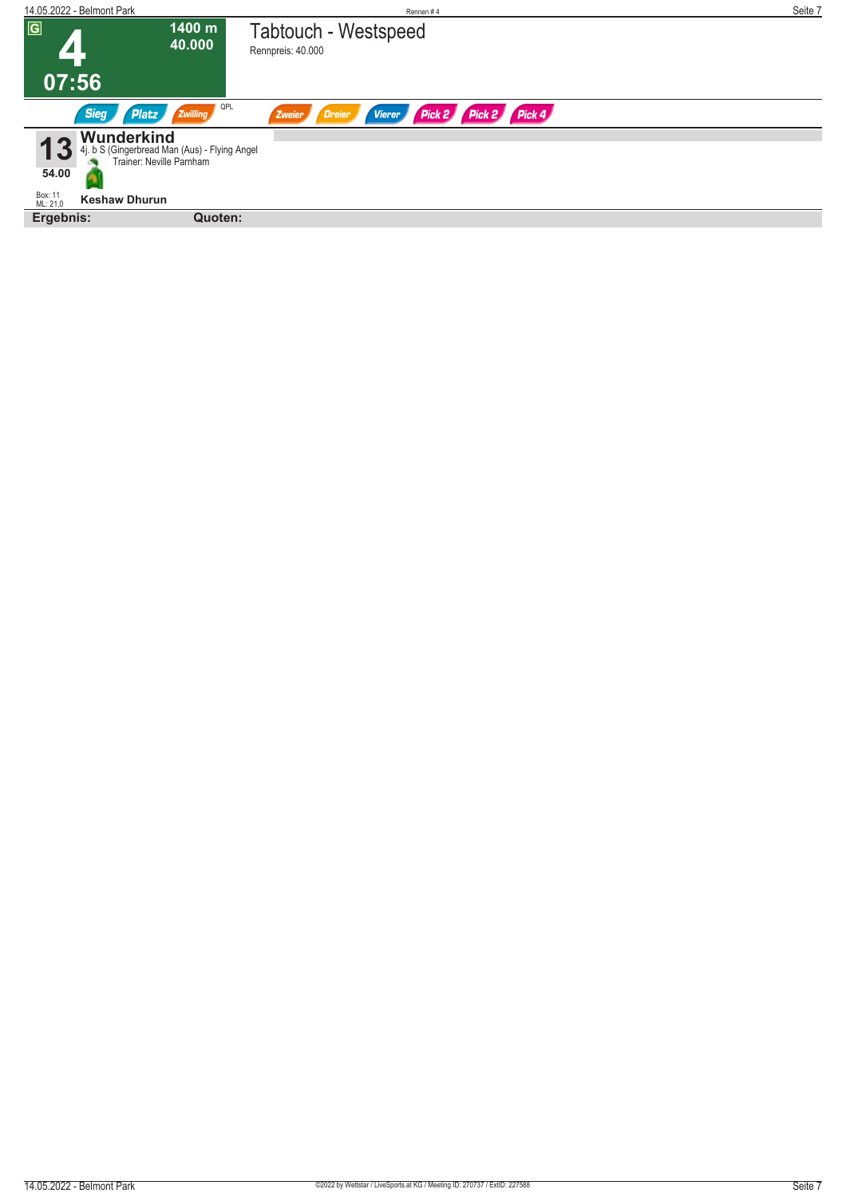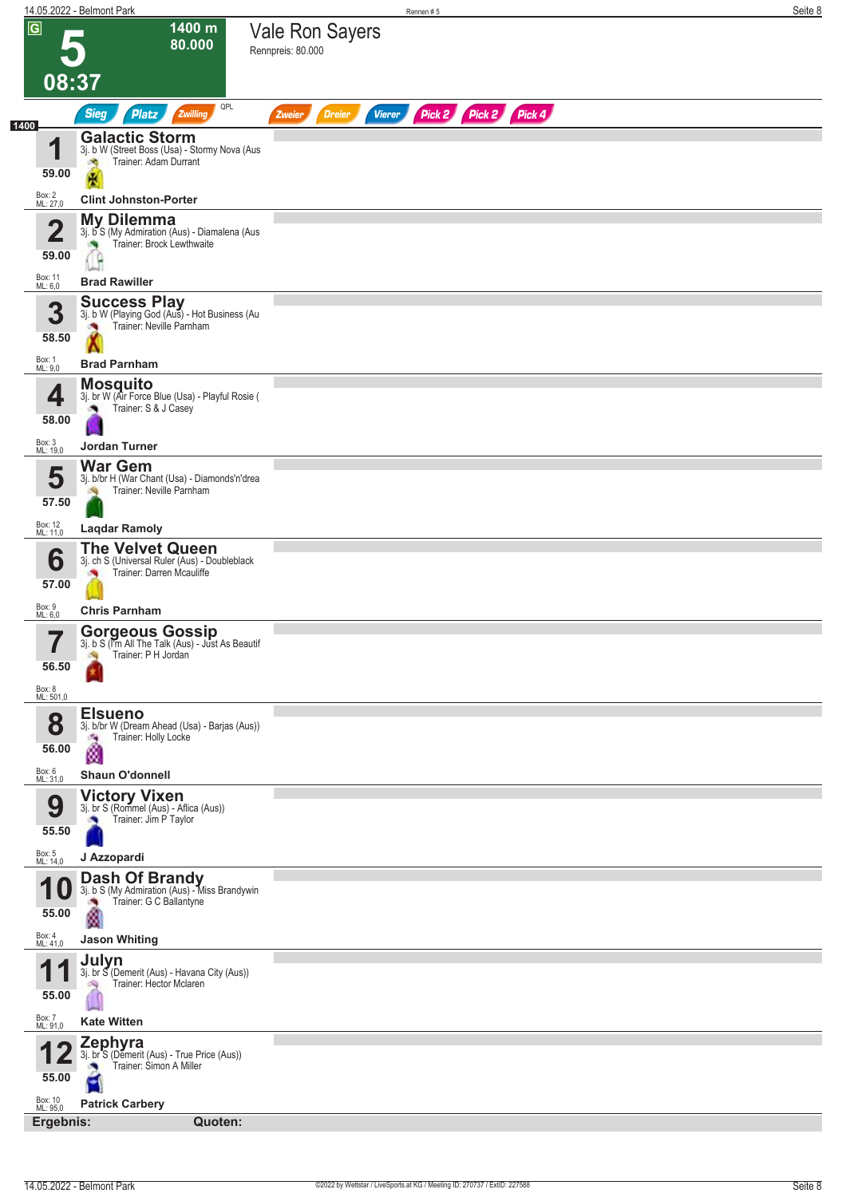|                                  | 14.05.2022 - Belmont Park                                                                                   | Rennen #5                                                        | Seite 8 |
|----------------------------------|-------------------------------------------------------------------------------------------------------------|------------------------------------------------------------------|---------|
| $\overline{G}$                   | 1400 m<br>80.000                                                                                            | <b>Vale Ron Sayers</b><br>Rennpreis: 80.000                      |         |
|                                  | 08:37                                                                                                       |                                                                  |         |
| 1400                             | QPL<br><b>Sieg</b><br><b>Platz</b><br>Zwilling                                                              | Pick 2 Pick 2 Pick 4<br><b>Vierer</b><br><b>Dreier</b><br>Zweier |         |
| 4<br>59.00                       | <b>Galactic Storm</b><br>3j. b W (Street Boss (Usa) - Stormy Nova (Aus<br>Trainer: Adam Durrant<br>đ.       |                                                                  |         |
| Box: 2<br>ML: 27,0               | 儀<br><b>Clint Johnston-Porter</b>                                                                           |                                                                  |         |
|                                  |                                                                                                             |                                                                  |         |
| $\overline{\mathbf{2}}$<br>59.00 | <b>My Dilemma</b><br>3j. b S (My Admiration (Aus) - Diamalena (Aus<br>Trainer: Brock Lewthwaite             |                                                                  |         |
| Box: 11<br>ML: 6,0               | <b>Brad Rawiller</b>                                                                                        |                                                                  |         |
| 3<br>58.50                       | <b>Success Play</b><br>3j. b W (Playing God (Aus) - Hot Business (Au<br>Trainer: Neville Parnham            |                                                                  |         |
| Box: 1<br>ML: 9,0                | <b>Brad Parnham</b><br><b>Mosquito</b>                                                                      |                                                                  |         |
| 4<br>58.00                       | 3j. br W (Air Force Blue (Usa) - Playful Rosie (<br>Trainer: S & J Casey                                    |                                                                  |         |
| Box: 3<br>ML: 19,0               | Jordan Turner                                                                                               |                                                                  |         |
| 5<br>57.50                       | <b>War Gem</b><br>3j. b/br H (War Chant (Usa) - Diamonds'n'drea<br>Trainer: Neville Parnham                 |                                                                  |         |
| Box: 12<br>ML: 11,0              | <b>Lagdar Ramoly</b>                                                                                        |                                                                  |         |
| 6<br>57.00                       | <b>The Velvet Queen</b><br>3j. ch S (Universal Ruler (Aus) - Doubleblack<br>Trainer: Darren Mcauliffe       |                                                                  |         |
| Box: 9<br>ML: 6,0                | <b>Chris Parnham</b>                                                                                        |                                                                  |         |
| 56.50<br>Box: 8<br>ML: 501,0     | <b>Gorgeous Gossip</b><br>3j. b S (I'm All The Talk (Aus) - Just As Beautif<br>Trainer: P H Jordan          |                                                                  |         |
| 8<br>56.00                       | <b>Elsueno</b><br>3j. b/br W (Dream Ahead (Usa) - Barjas (Aus))<br>Trainer: Holly Locke<br>×,<br>ø          |                                                                  |         |
| Box: 6<br>ML: 31,0               | <b>Shaun O'donnell</b>                                                                                      |                                                                  |         |
| 9<br>55.50                       | <b>Victory Vixen</b><br>3j. br S (Rommel (Aus) - Aflica (Aus))<br>Trainer: Jim P Taylor                     |                                                                  |         |
| Box: 5<br>ML: 14,0               | J Azzopardi                                                                                                 |                                                                  |         |
| 1<br>U<br>55.00                  | <b>Dash Of Brandy</b><br>3j. b S (My Admiration (Aus) - Miss Brandywin<br>Trainer: G C Ballantyne<br>×<br>ø |                                                                  |         |
| Box: 4<br>ML: 41,0               | <b>Jason Whiting</b>                                                                                        |                                                                  |         |
| 1<br>1<br>55.00                  | Julyn<br>3j. br S (Demerit (Aus) - Havana City (Aus))<br>Trainer: Hector Mclaren                            |                                                                  |         |
| Box: 7<br>ML: 91,0               | <b>Kate Witten</b>                                                                                          |                                                                  |         |
| 55.00                            | <b>Zephyra</b><br>3j. br <sup>"</sup> S (Demerit (Aus) - True Price (Aus))<br>Trainer: Simon A Miller<br>۳  |                                                                  |         |
| Box: 10<br>ML: 95,0<br>Ergebnis: | <b>Patrick Carbery</b><br>Quoten:                                                                           |                                                                  |         |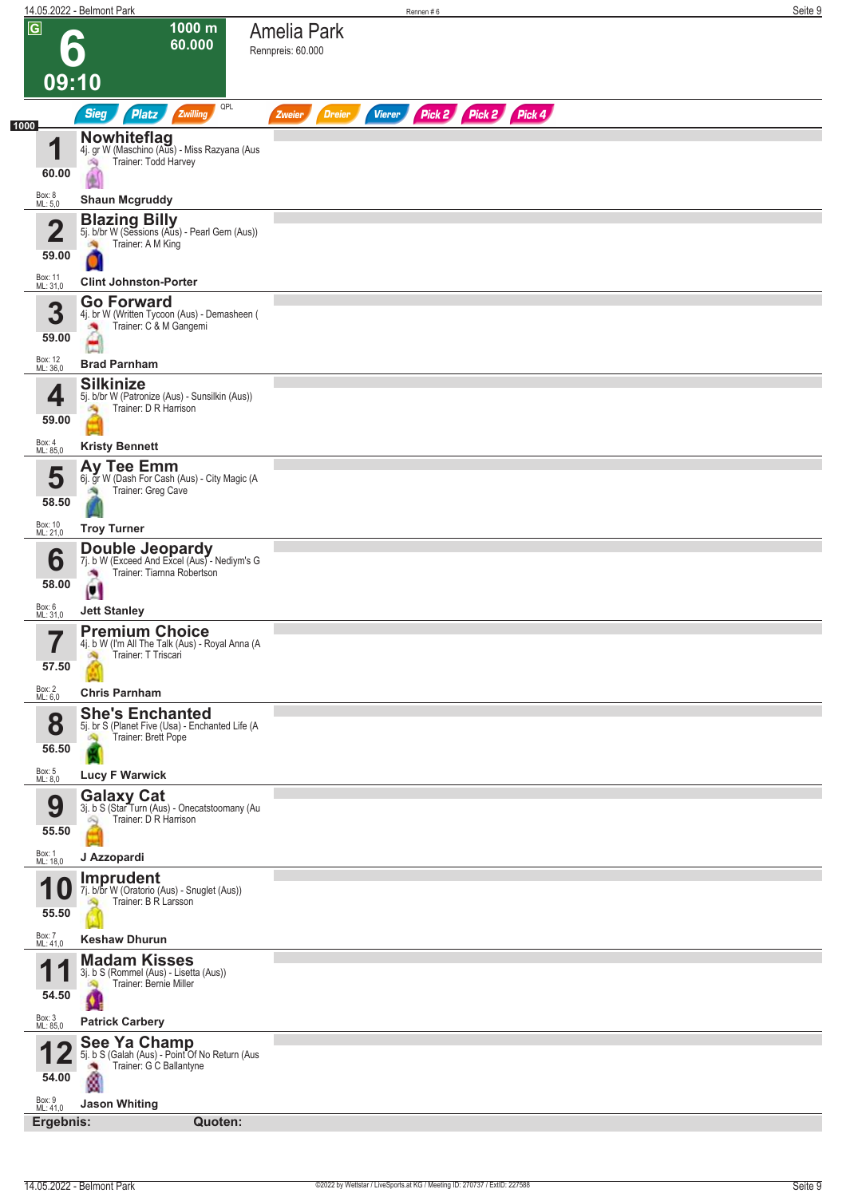|                                                         | 14.05.2022 - Belmont Park                                                                                                      | Rennen#6                                                         | Seite 9 |
|---------------------------------------------------------|--------------------------------------------------------------------------------------------------------------------------------|------------------------------------------------------------------|---------|
| $\overline{\mathsf{G}}$<br>09:10                        | $1000 \text{ m}$<br>60.000                                                                                                     | <b>Amelia Park</b><br>Rennpreis: 60.000                          |         |
|                                                         | QPL<br><b>Sieg</b><br>Zwilling<br><b>Platz</b>                                                                                 | Pick 2 Pick 2 Pick 4<br><b>Dreier</b><br><b>Vierer</b><br>Zweier |         |
| 1000<br>4<br>60.00<br>Box: 8<br>ML: 5,0                 | <b>Nowhiteflag</b><br>4j. gr W (Maschino (Aus) - Miss Razyana (Aus<br>Trainer: Todd Harvey<br>沟<br>ÓК<br><b>Shaun Mcgruddy</b> |                                                                  |         |
|                                                         |                                                                                                                                |                                                                  |         |
| $\overline{\mathbf{2}}$<br>59.00<br>Box: 11<br>ML: 31,0 | <b>Blazing Billy</b><br>5j. b/br W (Sessions (Aus) - Pearl Gem (Aus))<br>Trainer: A M King<br><b>Clint Johnston-Porter</b>     |                                                                  |         |
| 3<br>59.00                                              | <b>Go Forward</b><br>4j. br W (Written Tycoon (Aus) - Demasheen (<br>Trainer: C & M Gangemi<br>×,                              |                                                                  |         |
| Box: 12<br>ML: 36,0                                     | <b>Brad Parnham</b>                                                                                                            |                                                                  |         |
| 4<br>59.00<br>Box: 4                                    | <b>Silkinize</b><br>5j. b/br W (Patronize (Aus) - Sunsilkin (Aus))<br>Trainer: D R Harrison<br><b>CAN</b>                      |                                                                  |         |
| ML: 85,0                                                | <b>Kristy Bennett</b>                                                                                                          |                                                                  |         |
| 5<br>58.50                                              | Ay Tee Emm<br>6j. gr W (Dash For Cash (Aus) - City Magic (A<br>Trainer: Greg Cave                                              |                                                                  |         |
| Box: 10<br>ML: 21,0                                     | <b>Troy Turner</b>                                                                                                             |                                                                  |         |
| 6<br>58.00                                              | <b>Double Jeopardy</b><br>7j. b W (Exceed And Excel (Aus) - Nediym's G<br>Trainer: Tiarnna Robertson<br>Ø                      |                                                                  |         |
| Box: 6<br>ML: 31,0                                      | <b>Jett Stanley</b>                                                                                                            |                                                                  |         |
| <b>The State</b><br>I<br>57.50                          | <b>Premium Choice</b><br>4j. b W (I'm All The Talk (Aus) - Royal Anna (A<br>Trainer: T Triscari                                |                                                                  |         |
| Box: 2<br>ML: 6,0                                       | <b>Chris Parnham</b>                                                                                                           |                                                                  |         |
| 8<br>56.50                                              | <b>She's Enchanted</b><br>5j. br S (Planet Five (Usa) - Enchanted Life (A<br>Trainer: Brett Pope<br>d.                         |                                                                  |         |
| Box: 5<br>ML: 8,0                                       | <b>Lucy F Warwick</b>                                                                                                          |                                                                  |         |
| 9<br>55.50<br>Box: 1<br>ML: 18,0                        | <b>Galaxy Cat</b><br>3j. b S (Star Turn (Aus) - Onecatstoomany (Au<br>Trainer: D R Harrison<br>Q<br>J Azzopardi                |                                                                  |         |
|                                                         | Imprudent                                                                                                                      |                                                                  |         |
| 1<br>55.50                                              | 7j. b/br W (Oratorio (Aus) - Snuglet (Aus))<br>Trainer: B R Larsson                                                            |                                                                  |         |
| Box: 7<br>ML: 41,0                                      | <b>Keshaw Dhurun</b>                                                                                                           |                                                                  |         |
| 1<br>и<br>54.50                                         | <b>Madam Kisses</b><br>3j. b S (Rommel (Aus) - Lisetta (Aus))<br>Trainer: Bernie Miller<br>đ.                                  |                                                                  |         |
| Box: 3<br>ML: 85,0                                      | <b>Patrick Carbery</b>                                                                                                         |                                                                  |         |
| 54.00<br>Box: 9<br>ML: 41,0                             | See Ya Champ<br>5j. b S (Galah (Aus) - Point Of No Return (Aus<br>Trainer: G C Ballantyne<br>×<br>ø<br><b>Jason Whiting</b>    |                                                                  |         |
| Ergebnis:                                               | Quoten:                                                                                                                        |                                                                  |         |
|                                                         |                                                                                                                                |                                                                  |         |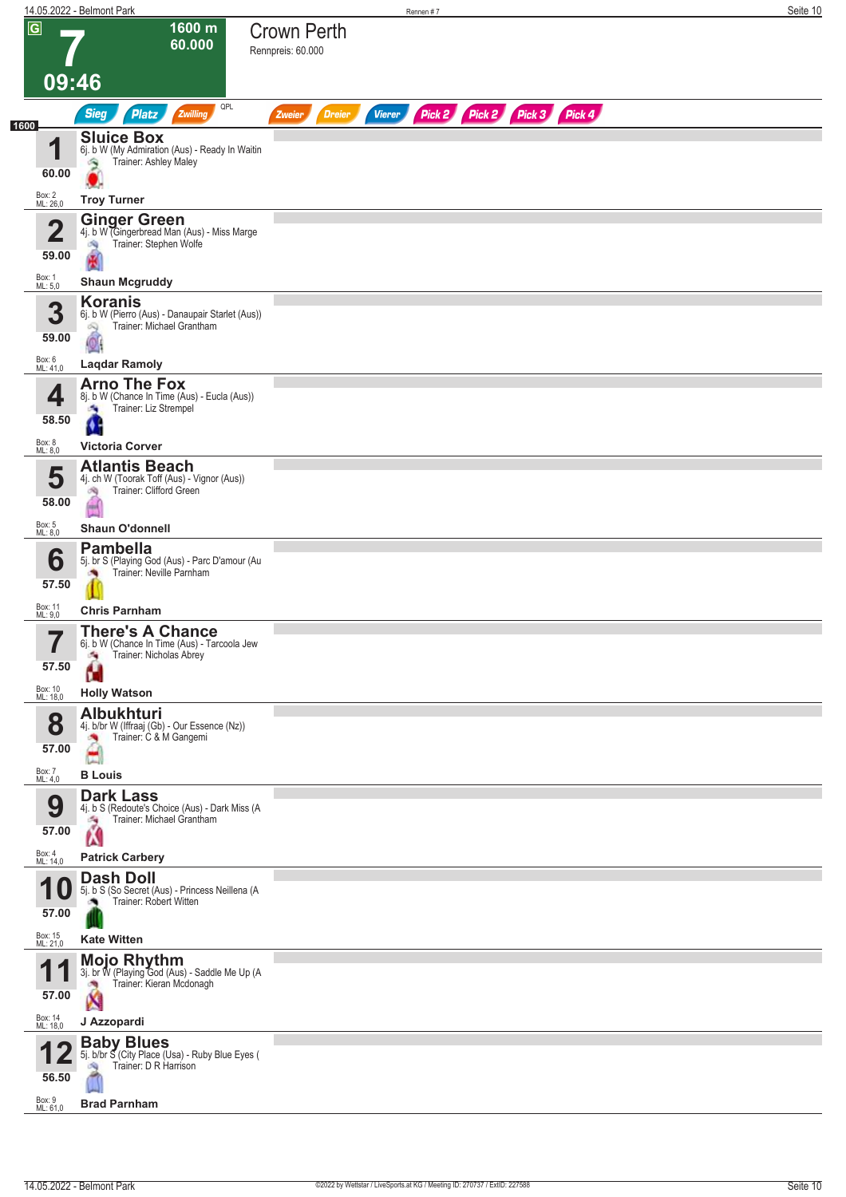|                                  | 14.05.2022 - Belmont Park                                                                                                                 | Rennen #7                                                               | Seite 10 |
|----------------------------------|-------------------------------------------------------------------------------------------------------------------------------------------|-------------------------------------------------------------------------|----------|
| $\overline{G}$                   | 1600 m<br>60.000<br>09:46                                                                                                                 | <b>Crown Perth</b><br>Rennpreis: 60.000                                 |          |
|                                  | QPL<br><b>Sieg</b><br><b>Platz</b><br>Zwilling                                                                                            | Pick 2 Pick 2 Pick 3 Pick 4<br><b>Dreier</b><br><b>Vierer</b><br>Zweier |          |
| 1600<br>4<br>60.00               | <b>Sluice Box</b><br>6j. b W (My Admiration (Aus) - Ready In Waitin<br>Trainer: Ashley Maley<br>۸                                         |                                                                         |          |
| Box: 2<br>ML: 26,0               | <b>Troy Turner</b>                                                                                                                        |                                                                         |          |
| $\overline{2}$<br>59.00          | <b>Ginger Green</b><br>4j. b W (Gingerbread Man (Aus) - Miss Marge<br>Trainer: Stephen Wolfe<br>淘                                         |                                                                         |          |
| Box: 1<br>ML: 5,0                | <b>Shaun Mcgruddy</b>                                                                                                                     |                                                                         |          |
| 3<br>59.00<br>Box: 6<br>ML: 41,0 | <b>Koranis</b><br>6j. b W (Pierro (Aus) - Danaupair Starlet (Aus))<br>Trainer: Michael Grantham<br>Q<br>$\bullet$<br><b>Laqdar Ramoly</b> |                                                                         |          |
|                                  | <b>Arno The Fox</b>                                                                                                                       |                                                                         |          |
| 4<br>58.50                       | 8j. b W (Chance In Time (Aus) - Eucla (Aus))<br>Trainer: Liz Strempel<br>Ø,                                                               |                                                                         |          |
| Box: 8<br>ML: 8,0                | <b>Victoria Corver</b>                                                                                                                    |                                                                         |          |
| 5<br>58.00                       | <b>Atlantis Beach</b><br>4j. ch W (Toorak Toff (Aus) - Vignor (Aus))<br>Trainer: Clifford Green<br>殉                                      |                                                                         |          |
| Box: 5<br>ML: 8,0                | <b>Shaun O'donnell</b>                                                                                                                    |                                                                         |          |
| 6<br>57.50                       | <b>Pambella</b><br>5j. br S (Playing God (Aus) - Parc D'amour (Au<br>Trainer: Neville Parnham                                             |                                                                         |          |
| Box: 11<br>ML: 9,0               | <b>Chris Parnham</b>                                                                                                                      |                                                                         |          |
| ب سا<br>57.50                    | <b>There's A Chance</b><br>6j. b W (Chance In Time (Aus) - Tarcoola Jew<br>Trainer: Nicholas Abrey<br>οŅ,<br>H                            |                                                                         |          |
| Box: 10<br>ML: 18,0              | <b>Holly Watson</b>                                                                                                                       |                                                                         |          |
| 8<br>57.00                       | <b>Albukhturi</b><br>4j. b/br W (Iffraaj (Gb) - Our Essence (Nz))<br>Trainer: C & M Gangemi<br>×,                                         |                                                                         |          |
| Box: 7<br>ML: 4,0                | <b>B</b> Louis                                                                                                                            |                                                                         |          |
| 9<br>57.00                       | <b>Dark Lass</b><br>4j. b S (Redoute's Choice (Aus) - Dark Miss (A<br>Trainer: Michael Grantham<br>海<br>Ń                                 |                                                                         |          |
| Box: 4<br>ML: 14,0               | <b>Patrick Carbery</b>                                                                                                                    |                                                                         |          |
| я<br>57.00                       | <b>Dash Doll</b><br>5j. b S (So Secret (Aus) - Princess Neillena (A<br>Trainer: Robert Witten                                             |                                                                         |          |
| Box: 15<br>ML: 21,0              | <b>Kate Witten</b>                                                                                                                        |                                                                         |          |
| И.<br>57.00                      | <b>Mojo Rhythm</b><br>3j. br W (Playing God (Aus) - Saddle Me Up (A<br>Trainer: Kieran Mcdonagh<br>X                                      |                                                                         |          |
| Box: 14<br>ML: 18,0              | J Azzopardi                                                                                                                               |                                                                         |          |
| 56.50                            | <b>Baby Blues</b><br>5j. b/br S (City Place (Usa) - Ruby Blue Eyes (<br>Trainer: D R Harrison<br>59                                       |                                                                         |          |
| Box: 9<br>ML: 61,0               | <b>Brad Parnham</b>                                                                                                                       |                                                                         |          |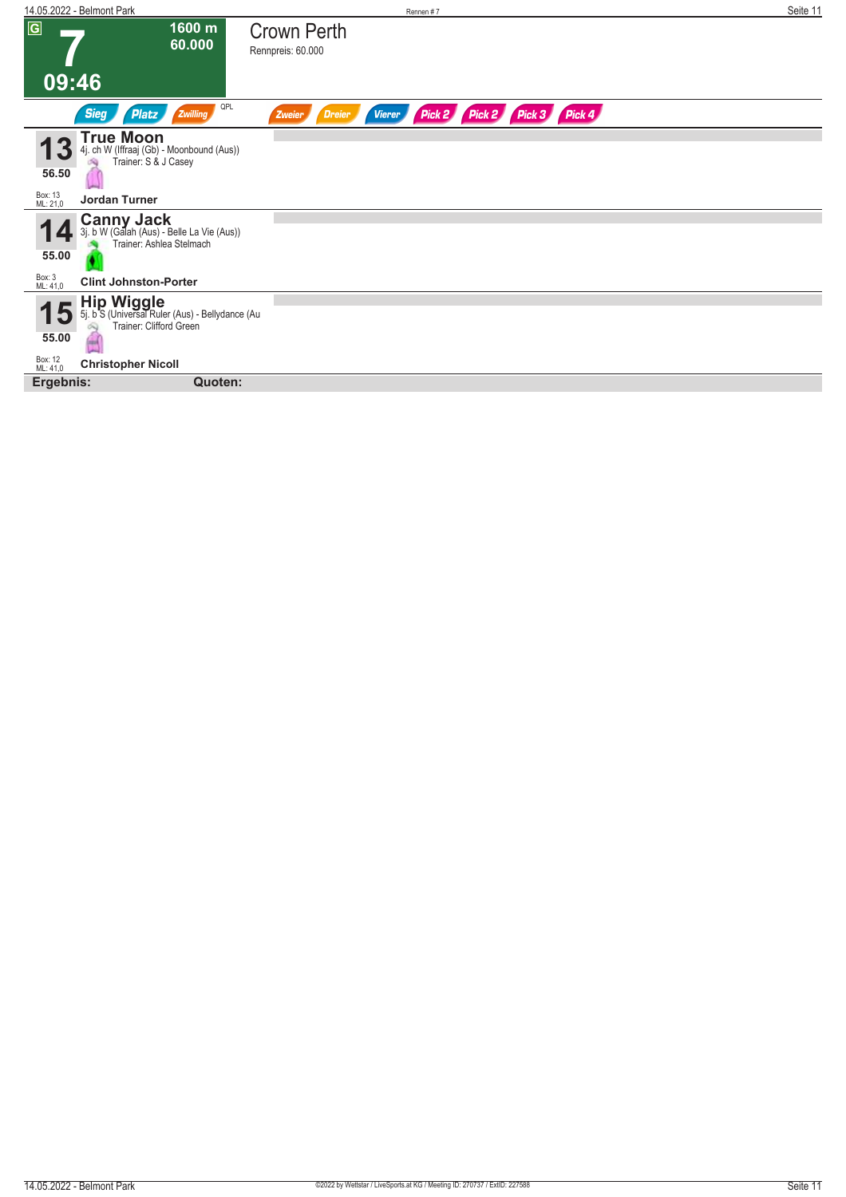| 14.05.2022 - Belmont Park                                                                                                              | Rennen#7                                                                | Seite 11 |
|----------------------------------------------------------------------------------------------------------------------------------------|-------------------------------------------------------------------------|----------|
| $\overline{G}$<br>1600 m<br>60.000                                                                                                     | <b>Crown Perth</b><br>Rennpreis: 60.000                                 |          |
| 09:46                                                                                                                                  |                                                                         |          |
| QPL<br><b>Sieg</b><br>Zwilling<br>Platz                                                                                                | Pick 2 Pick 2 Pick 3 Pick 4<br><b>Dreier</b><br><b>Vierer</b><br>Zweier |          |
| <b>True Moon</b><br>4j. ch W (Iffraaj (Gb) - Moonbound (Aus))<br>Trainer: S & J Casey<br>56.50<br>Box: 13<br>ML: 21,0<br>Jordan Turner |                                                                         |          |
|                                                                                                                                        |                                                                         |          |
| <b>Canny Jack</b><br>3j. b W (Galah (Aus) - Belle La Vie (Aus))<br>Trainer: Ashlea Stelmach<br>55.00                                   |                                                                         |          |
| Box: 3<br>ML: 41,0<br><b>Clint Johnston-Porter</b>                                                                                     |                                                                         |          |
| Hip Wiggle<br>5j. b S (Universal Ruler (Aus) - Bellydance (Au<br>15<br>Trainer: Clifford Green<br>55.00                                |                                                                         |          |
| Box: 12<br>ML: 41,0<br><b>Christopher Nicoll</b>                                                                                       |                                                                         |          |
| Ergebnis:<br>Quoten:                                                                                                                   |                                                                         |          |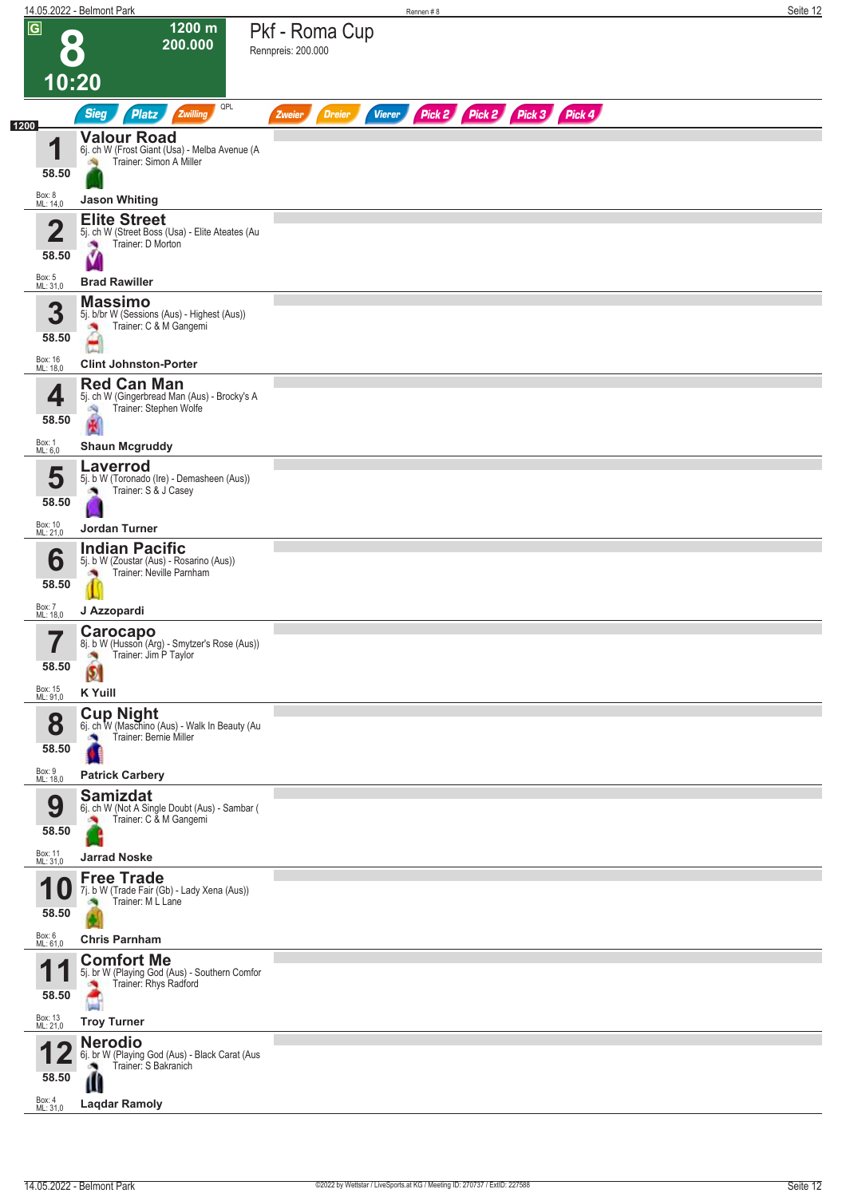|                                                           | 14.05.2022 - Belmont Park                                                                                                   | Rennen#8                                                                | Seite 12 |
|-----------------------------------------------------------|-----------------------------------------------------------------------------------------------------------------------------|-------------------------------------------------------------------------|----------|
| $\overline{G}$                                            | 1200 m<br>200.000                                                                                                           | Pkf - Roma Cup<br>Rennpreis: 200.000                                    |          |
|                                                           | 10:20                                                                                                                       |                                                                         |          |
|                                                           | QPL<br>Zwilling<br><b>Sieg</b><br><b>Platz</b>                                                                              | Pick 2 Pick 2 Pick 3 Pick 4<br><b>Dreier</b><br><b>Vierer</b><br>Zweier |          |
| 1200<br>И<br>58.50                                        | <b>Valour Road</b><br>6j. ch W (Frost Giant (Usa) - Melba Avenue (A<br>Trainer: Simon A Miller                              |                                                                         |          |
| Box: 8<br>ML: 14,0                                        | <b>Jason Whiting</b>                                                                                                        |                                                                         |          |
| 2<br>58.50                                                | <b>Elite Street</b><br>5j. ch W (Street Boss (Usa) - Elite Ateates (Au<br>Trainer: D Morton                                 |                                                                         |          |
| Box: 5<br>ML: 31,0                                        | <b>Brad Rawiller</b>                                                                                                        |                                                                         |          |
| 3<br>58.50                                                | <b>Massimo</b><br>5j. b/br W (Sessions (Aus) - Highest (Aus))<br>Trainer: C & M Gangemi                                     |                                                                         |          |
| Box: 16<br>ML: 18,0                                       | <b>Clint Johnston-Porter</b>                                                                                                |                                                                         |          |
| 4<br>58.50                                                | <b>Red Can Man</b><br>5j. ch W (Gingerbread Man (Aus) - Brocky's A<br>Trainer: Stephen Wolfe<br>6Ñ)                         |                                                                         |          |
| Box: 1<br>ML: 6,0                                         | <b>Shaun Mcgruddy</b>                                                                                                       |                                                                         |          |
| 5<br>58.50                                                | Laverrod<br>5j. b W (Toronado (Ire) - Demasheen (Aus))<br>Trainer: S & J Casey                                              |                                                                         |          |
| Box: 10<br>ML: 21,0                                       | <b>Jordan Turner</b>                                                                                                        |                                                                         |          |
| 6<br>58.50<br>Box: 7                                      | <b>Indian Pacific</b><br>5j. b W (Zoustar (Aus) - Rosarino (Aus))<br>Trainer: Neville Parnham<br>J Azzopardi                |                                                                         |          |
| ML: 18,0<br>$\rightarrow$<br>58.50<br>Box: 15<br>ML: 91,0 | Carocapo<br>8j. b W (Husson (Arg) - Smytzer's Rose (Aus))<br>Trainer: Jim P Taylor<br>×<br>$\mathfrak{g}$<br><b>K</b> Yuill |                                                                         |          |
|                                                           | <b>Cup Night</b>                                                                                                            |                                                                         |          |
| 8<br>58.50<br>Box: 9                                      | 6j. ch W (Maschino (Aus) - Walk In Beauty (Au<br>Trainer: Bernie Miller<br><b>Patrick Carbery</b>                           |                                                                         |          |
| ML: 18,0                                                  | <b>Samizdat</b>                                                                                                             |                                                                         |          |
| 9<br>58.50<br>Box: 11<br>ML: 31,0                         | 6j. ch W (Not A Single Doubt (Aus) - Sambar (<br>Trainer: C & M Gangemi<br><b>Jarrad Noske</b>                              |                                                                         |          |
| ρ<br>U                                                    | <b>Free Trade</b><br>7j. b W (Trade Fair (Gb) - Lady Xena (Aus))<br>Trainer: M L Lane                                       |                                                                         |          |
| 58.50<br>Box: 6<br>ML: 61,0                               | <b>Chris Parnham</b>                                                                                                        |                                                                         |          |
| 1<br>58.50<br>Box: 13<br>ML: 21,0                         | <b>Comfort Me</b><br>5j. br W (Playing God (Aus) - Southern Comfor<br>Trainer: Rhys Radford<br><b>Troy Turner</b>           |                                                                         |          |
|                                                           | <b>Nerodio</b>                                                                                                              |                                                                         |          |
| Z.<br>58.50                                               | 6j. br W (Playing God (Aus) - Black Carat (Aus<br>Trainer: S Bakranich<br>Ш                                                 |                                                                         |          |
| Box: 4<br>ML: 31,0                                        | <b>Laqdar Ramoly</b>                                                                                                        |                                                                         |          |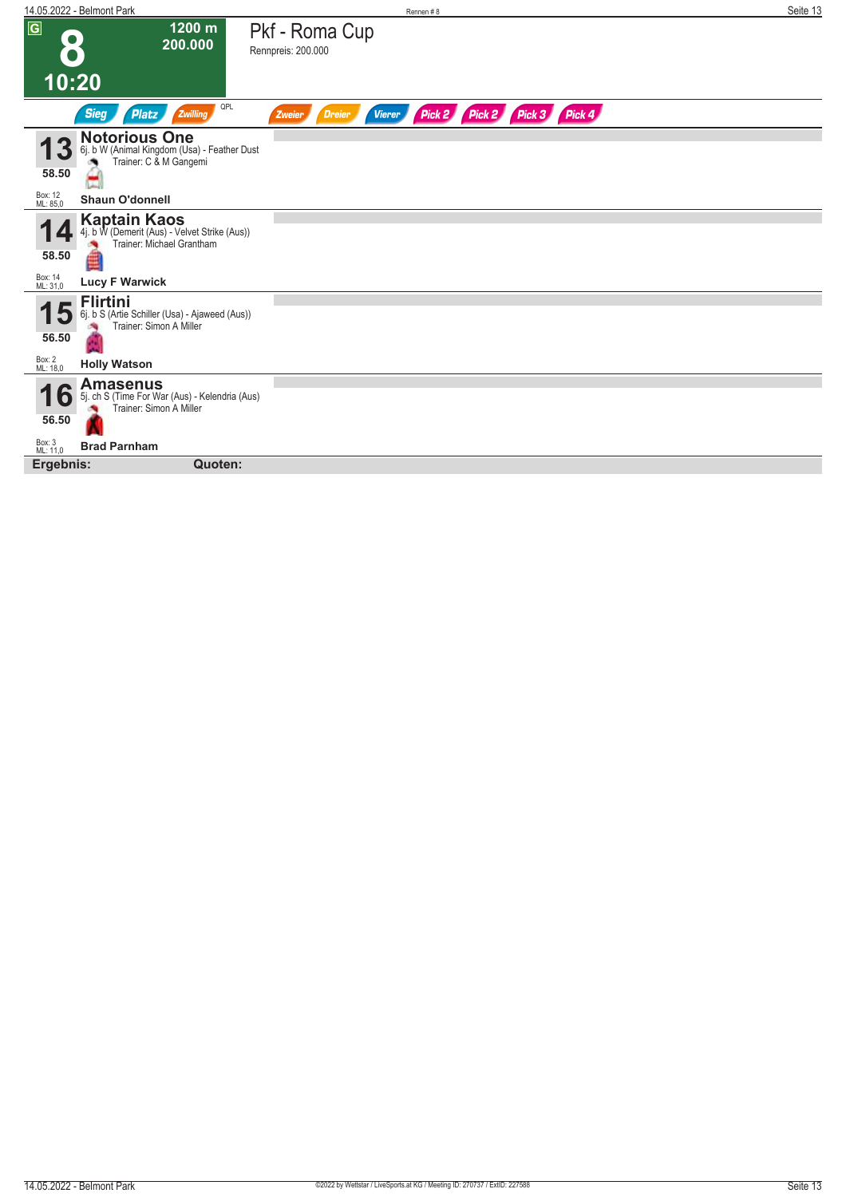| 14.05.2022 - Belmont Park                                                                                    | Rennen #8                                                                  | Seite 13 |
|--------------------------------------------------------------------------------------------------------------|----------------------------------------------------------------------------|----------|
| $\overline{G}$<br>1200 m<br>$\bullet$<br>200.000                                                             | Pkf - Roma Cup<br>Rennpreis: 200.000                                       |          |
| 10:20                                                                                                        |                                                                            |          |
| QPL<br><b>Sieg</b><br>Platz<br>Zwilling                                                                      | Pick 2 Pick 3 Pick 4<br>Pick 2<br>Zweier<br><b>Dreier</b><br><b>Vierer</b> |          |
| <b>Notorious One</b><br>3<br>6j. b W (Animal Kingdom (Usa) - Feather Dust<br>Trainer: C & M Gangemi<br>58.50 |                                                                            |          |
| Box: 12<br>ML: 85,0<br><b>Shaun O'donnell</b>                                                                |                                                                            |          |
| <b>Kaptain Kaos</b><br>4j. b W (Demerit (Aus) - Velvet Strike (Aus))<br>Trainer: Michael Grantham<br>58.50   |                                                                            |          |
| Box: 14<br>ML: 31,0<br><b>Lucy F Warwick</b>                                                                 |                                                                            |          |
| <b>Flirtini</b><br>6j. b S (Artie Schiller (Usa) - Ajaweed (Aus))<br>Đ<br>Trainer: Simon A Miller<br>56.50   |                                                                            |          |
| Box: 2<br>ML: 18,0<br><b>Holly Watson</b>                                                                    |                                                                            |          |
| <b>Amasenus</b><br>5j. ch S (Time For War (Aus) - Kelendria (Aus)<br>10<br>Trainer: Simon A Miller<br>56.50  |                                                                            |          |
| Box: 3<br>ML: 11,0<br><b>Brad Parnham</b>                                                                    |                                                                            |          |
| Quoten:<br>Ergebnis:                                                                                         |                                                                            |          |
|                                                                                                              |                                                                            |          |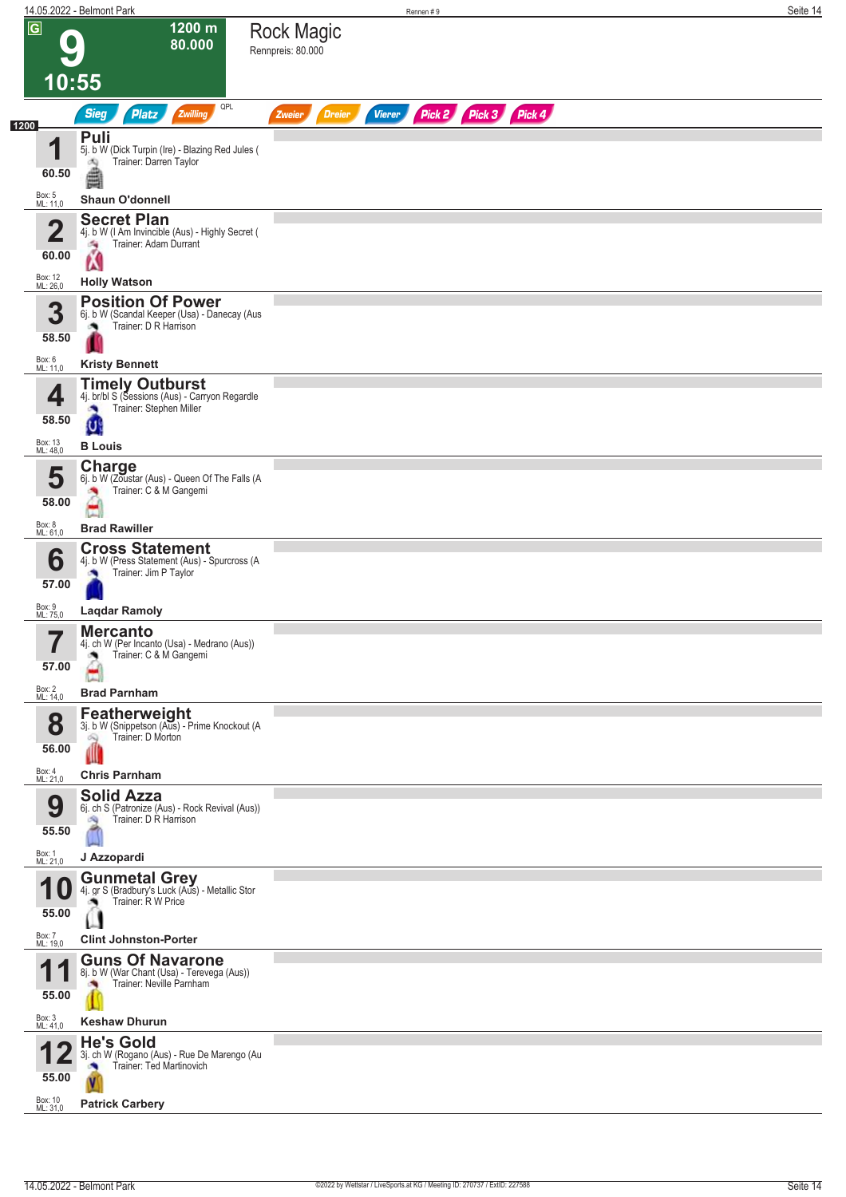|                                             | 14.05.2022 - Belmont Park                     |                                                                                                     |                         | Rennen#9                       |  | Seite 14 |
|---------------------------------------------|-----------------------------------------------|-----------------------------------------------------------------------------------------------------|-------------------------|--------------------------------|--|----------|
| $\overline{G}$<br>1200 m<br>80.000<br>10:55 |                                               | <b>Rock Magic</b><br>Rennpreis: 80.000                                                              |                         |                                |  |          |
|                                             | <b>Sieg</b><br><b>Platz</b>                   | QPL<br>Zwilling                                                                                     | <b>Dreier</b><br>Zweier | Pick 2 Pick 3 Pick 4<br>Vierer |  |          |
| 1200                                        | Puli                                          |                                                                                                     |                         |                                |  |          |
| И                                           | dQ.                                           | 5j. b W (Dick Turpin (Ire) - Blazing Red Jules (<br>Trainer: Darren Taylor                          |                         |                                |  |          |
|                                             | €<br>60.50                                    |                                                                                                     |                         |                                |  |          |
| Box: 5<br>ML: 11,0                          | <b>Shaun O'donnell</b>                        |                                                                                                     |                         |                                |  |          |
|                                             | <b>Secret Plan</b><br>$\overline{\mathbf{2}}$ | 4j. b W (I Am Invincible (Aus) - Highly Secret (                                                    |                         |                                |  |          |
|                                             | 海<br>Ń<br>60.00                               | Trainer: Adam Durrant                                                                               |                         |                                |  |          |
| Box: 12<br>ML: 26,0                         | <b>Holly Watson</b>                           |                                                                                                     |                         |                                |  |          |
|                                             | 3                                             | <b>Position Of Power</b>                                                                            |                         |                                |  |          |
|                                             |                                               | 6j. b W (Scandal Keeper (Usa) - Danecay (Aus<br>Trainer: D R Harrison                               |                         |                                |  |          |
|                                             | 58.50                                         |                                                                                                     |                         |                                |  |          |
| Box: 6<br>ML: 11,0                          | <b>Kristy Bennett</b>                         |                                                                                                     |                         |                                |  |          |
|                                             | 4<br><b>CO</b>                                | <b>Timely Outburst</b><br>4j. br/bl S (Sessions (Aus) - Carryon Regardle<br>Trainer: Stephen Miller |                         |                                |  |          |
|                                             | 58.50<br>U                                    |                                                                                                     |                         |                                |  |          |
| Box: 13<br>ML: 48,0                         | <b>B</b> Louis                                |                                                                                                     |                         |                                |  |          |
|                                             | Charge<br>5                                   | 6j. b W (Zoustar (Aus) - Queen Of The Falls (A                                                      |                         |                                |  |          |
|                                             | 58.00                                         | Trainer: C & M Gangemi                                                                              |                         |                                |  |          |
| Box: 8<br>ML: 61,0                          | <b>Brad Rawiller</b>                          |                                                                                                     |                         |                                |  |          |
|                                             | <b>Cross Statement</b><br>6                   | 4j. b W (Press Statement (Aus) - Spurcross (A                                                       |                         |                                |  |          |
|                                             | 57.00                                         | Trainer: Jim P Taylor                                                                               |                         |                                |  |          |
| Box: 9<br>ML: 75,0                          | <b>Laqdar Ramoly</b>                          |                                                                                                     |                         |                                |  |          |
|                                             | <b>Mercanto</b>                               |                                                                                                     |                         |                                |  |          |
|                                             |                                               | 4j. ch W (Per Incanto (Usa) - Medrano (Aus))<br>Trainer: C & M Gangemi                              |                         |                                |  |          |
|                                             | 57.00                                         |                                                                                                     |                         |                                |  |          |
| Box: 2<br>ML: 14,0                          | <b>Brad Parnham</b>                           |                                                                                                     |                         |                                |  |          |
|                                             | <b>Featherweight</b><br>8                     | 3j. b W (Snippetson (Aus) - Prime Knockout (A                                                       |                         |                                |  |          |
|                                             | Trainer: D Morton<br>Q<br>56.00<br>∭          |                                                                                                     |                         |                                |  |          |
| Box: 4<br>ML: 21,0                          | <b>Chris Parnham</b>                          |                                                                                                     |                         |                                |  |          |
|                                             | <b>Solid Azza</b><br>9                        | 6j. ch S (Patronize (Aus) - Rock Revival (Aus))                                                     |                         |                                |  |          |
|                                             | - 1<br>55.50                                  | Trainer: D R Harrison                                                                               |                         |                                |  |          |
| Box: 1<br>ML: 21,0                          | J Azzopardi                                   |                                                                                                     |                         |                                |  |          |
|                                             | <b>Gunmetal Grey</b><br>IU.                   | 4j. gr S (Bradbury's Luck (Aus) - Metallic Stor                                                     |                         |                                |  |          |
|                                             | ு<br>55.00                                    | Trainer: R W Price                                                                                  |                         |                                |  |          |
| Box: 7<br>ML: 19,0                          | <b>Clint Johnston-Porter</b>                  |                                                                                                     |                         |                                |  |          |
|                                             |                                               | <b>Guns Of Navarone</b>                                                                             |                         |                                |  |          |
|                                             | ۰                                             | 8j. b W (War Chant (Usa) - Terevega (Aus))<br>Trainer: Neville Parnham                              |                         |                                |  |          |
|                                             | 55.00                                         |                                                                                                     |                         |                                |  |          |
| Box: 3<br>ML: 41,0                          | <b>Keshaw Dhurun</b><br><b>He's Gold</b>      |                                                                                                     |                         |                                |  |          |
|                                             | o.<br>55.00<br>V                              | 3j. ch W (Rogano (Aus) - Rue De Marengo (Au<br>Trainer: Ted Martinovich                             |                         |                                |  |          |
| Box: 10<br>ML: 31,0                         | <b>Patrick Carbery</b>                        |                                                                                                     |                         |                                |  |          |